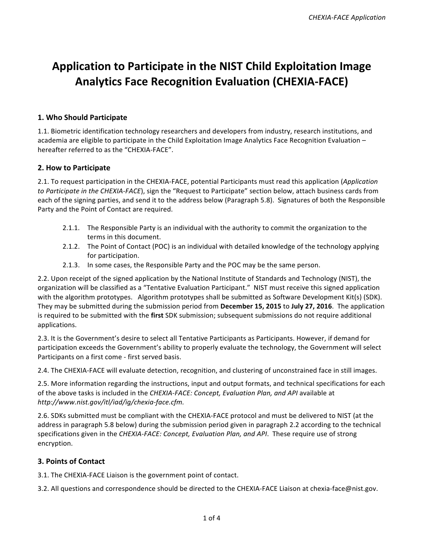# **Application to Participate in the NIST Child Exploitation Image Analytics Face Recognition Evaluation (CHEXIA-FACE)**

## **1. Who Should Participate**

 1.1. Biometric identification technology researchers and developers from industry, research institutions, and academia are eligible to participate in the Child Exploitation Image Analytics Face Recognition Evaluation hereafter referred to as the "CHEXIA-FACE".

## **2. How to Participate**

2.1. To request participation in the CHEXIA-FACE, potential Participants must read this application (Application to Participate in the CHEXIA-FACE), sign the "Request to Participate" section below, attach business cards from each of the signing parties, and send it to the address below (Paragraph 5.8). Signatures of both the Responsible Party and the Point of Contact are required.

- 2.1.1. The Responsible Party is an individual with the authority to commit the organization to the terms in this document.
- 2.1.2. The Point of Contact (POC) is an individual with detailed knowledge of the technology applying for participation.
- 2.1.3. In some cases, the Responsible Party and the POC may be the same person.

2.2. Upon receipt of the signed application by the National Institute of Standards and Technology (NIST), the organization will be classified as a "Tentative Evaluation Participant." NIST must receive this signed application with the algorithm prototypes. Algorithm prototypes shall be submitted as Software Development Kit(s) (SDK). They may be submitted during the submission period from **December 15, 2015** to **July 27, 2016**. The application is required to be submitted with the first SDK submission; subsequent submissions do not require additional applications.

participation exceeds the Government's ability to properly evaluate the technology, the Government will select Participants on a first come - first served basis. 2.3. It is the Government's desire to select all Tentative Participants as Participants. However, if demand for

2.4. The CHEXIA-FACE will evaluate detection, recognition, and clustering of unconstrained face in still images.

2.5. More information regarding the instructions, input and output formats, and technical specifications for each of the above tasks is included in the *CHEXIA-FACE: Concept, Evaluation Plan, and API* available at *<http://www.nist.gov/itl/iad/ig/chexia-face.cfm>.*

2.6. SDKs submitted must be compliant with the CHEXIA-FACE protocol and must be delivered to NIST (at the address in paragraph 5.8 below) during the submission period given in paragraph 2.2 according to the technical specifications given in the CHEXIA-FACE: Concept, Evaluation Plan, and API. These require use of strong encryption.

## **3. Points of Contact**

3.1. The CHEXIA-FACE Liaison is the government point of contact.

3.2. All questions and correspondence should be directed to the CHEXIA-FACE Liaison at [chexia-face@nist.gov.](https://chexia-face@nist.gov.	)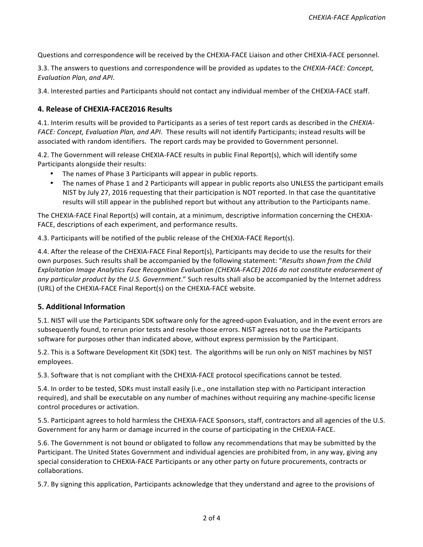Questions and correspondence will be received by the CHEXIA-FACE Liaison and other CHEXIA-FACE personnel.

3.3. The answers to questions and correspondence will be provided as updates to the *CHEXIA-FACE: Concept, Evaluation Plan, and API*.

 3.4. Interested parties and Participants should not contact any individual member of the CHEXIA-FACE staff.

### **4. Release of CHEXIA-FACE2016 Results**

4.1. Interim results will be provided to Participants as a series of test report cards as described in the *CHEXIA*-FACE: Concept, Evaluation Plan, and API. These results will not identify Participants; instead results will be associated with random identifiers. The report cards may be provided to Government personnel.

4.2. The Government will release CHEXIA-FACE results in public Final Report(s), which will identify some Participants alongside their results:

- The names of Phase 3 Participants will appear in public reports.
- The names of Phase 1 and 2 Participants will appear in public reports also UNLESS the participant emails NIST by July 27, 2016 requesting that their participation is NOT reported. In that case the quantitative results will still appear in the published report but without any attribution to the Participants name.

 The CHEXIA-FACE Final Report(s) will contain, at a minimum, descriptive information concerning the CHEXIA-FACE, descriptions of each experiment, and performance results.

4.3. Participants will be notified of the public release of the CHEXIA-FACE Report(s).

4.4. After the release of the CHEXIA-FACE Final Report(s), Participants may decide to use the results for their  own purposes. Such results shall be accompanied by the following statement: "*Results shown from the Child Exploitation Image Analytics Face Recognition Evaluation (CHEXIA-FACE) 2016 do not constitute endorsement of* any particular product by the U.S. Government." Such results shall also be accompanied by the Internet address (URL) of the CHEXIA-FACE Final Report(s) on the CHEXIA-FACE website.

### **5. Additional Information**

5.1. NIST will use the Participants SDK software only for the agreed-upon Evaluation, and in the event errors are subsequently found, to rerun prior tests and resolve those errors. NIST agrees not to use the Participants software for purposes other than indicated above, without express permission by the Participant.

5.2. This is a Software Development Kit (SDK) test. The algorithms will be run only on NIST machines by NIST employees.

5.3. Software that is not compliant with the CHEXIA-FACE protocol specifications cannot be tested.

5.4. In order to be tested, SDKs must install easily (i.e., one installation step with no Participant interaction required), and shall be executable on any number of machines without requiring any machine-specific license control procedures or activation.

5.5. Participant agrees to hold harmless the CHEXIA-FACE Sponsors, staff, contractors and all agencies of the U.S. Government for any harm or damage incurred in the course of participating in the CHEXIA-FACE.

5.6. The Government is not bound or obligated to follow any recommendations that may be submitted by the Participant. The United States Government and individual agencies are prohibited from, in any way, giving any special consideration to CHEXIA-FACE Participants or any other party on future procurements, contracts or collaborations.

5.7. By signing this application, Participants acknowledge that they understand and agree to the provisions of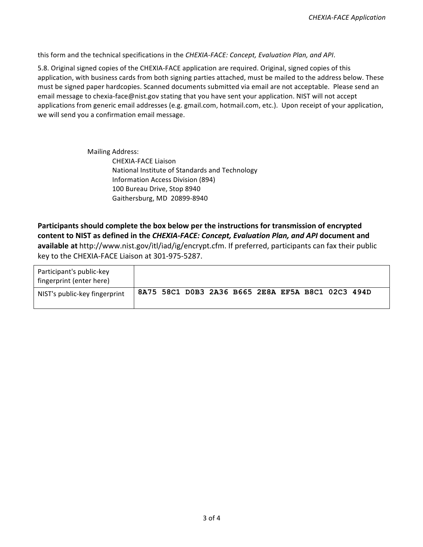this form and the technical specifications in the CHEXIA-FACE: Concept, Evaluation Plan, and API.

5.8. Original signed copies of the CHEXIA-FACE application are required. Original, signed copies of this application, with business cards from both signing parties attached, must be mailed to the address below. These must be signed paper hardcopies. Scanned documents submitted via email are not acceptable. Please send an email message to [chexia-face@nist.gov](mailto:chexia-face@nist.gov) stating that you have sent your application. NIST will not accept applications from generic email addresses (e.g. [gmail.com](https://gmail.com), [hotmail.com](https://hotmail.com), etc.). Upon receipt of your application, we will send you a confirmation email message.

> Mailing Address: CHEXIA-FACE Liaison National Institute of Standards and Technology 100 Bureau Drive, Stop 8940 Gaithersburg, MD 20899-8940 Information Access Division (894)

 **content to NIST as defined in the** *CHEXIA-FACE: Concept, Evaluation Plan, and API* **document and**  available at [http://www.nist.gov/itl/iad/ig/encrypt.cfm.](http://www.nist.gov/itl/iad/ig/encrypt.cfm) If preferred, participants can fax their public key to the CHEXIA-FACE Liaison at 301-975-5287. **Participants should complete the box below per the instructions for transmission of encrypted** 

| Participant's public-key<br>fingerprint (enter here) |  |                                                   |  |  |  |  |
|------------------------------------------------------|--|---------------------------------------------------|--|--|--|--|
| NIST's public-key fingerprint                        |  | 8A75 58C1 D0B3 2A36 B665 2E8A EF5A B8C1 02C3 494D |  |  |  |  |